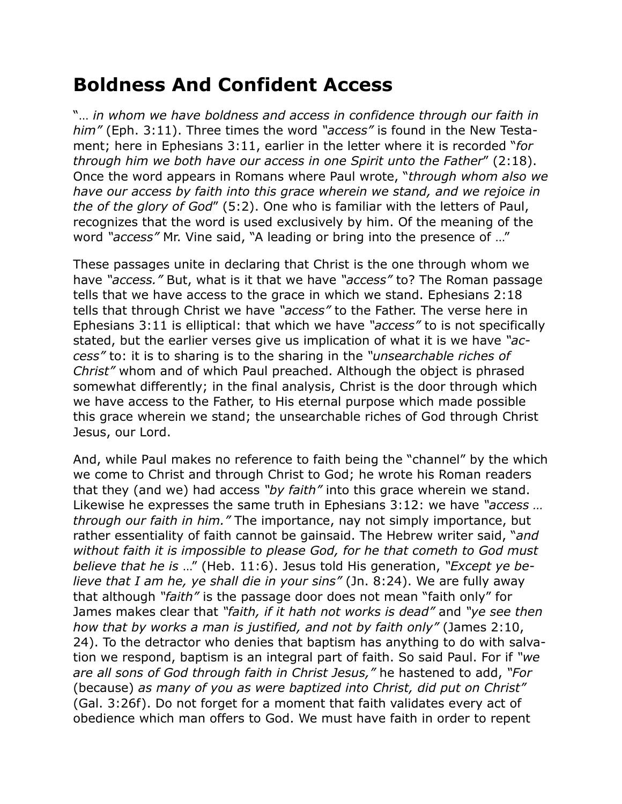## **Boldness And Confident Access**

"… *in whom we have boldness and access in confidence through our faith in him"* (Eph. 3:11). Three times the word *"access"* is found in the New Testament; here in Ephesians 3:11, earlier in the letter where it is recorded "*for through him we both have our access in one Spirit unto the Father*" (2:18). Once the word appears in Romans where Paul wrote, "*through whom also we have our access by faith into this grace wherein we stand, and we rejoice in the of the glory of God*" (5:2). One who is familiar with the letters of Paul, recognizes that the word is used exclusively by him. Of the meaning of the word *"access"* Mr. Vine said, "A leading or bring into the presence of …"

These passages unite in declaring that Christ is the one through whom we have *"access."* But, what is it that we have *"access"* to? The Roman passage tells that we have access to the grace in which we stand. Ephesians 2:18 tells that through Christ we have *"access"* to the Father. The verse here in Ephesians 3:11 is elliptical: that which we have *"access"* to is not specifically stated, but the earlier verses give us implication of what it is we have *"access"* to: it is to sharing is to the sharing in the *"unsearchable riches of Christ"* whom and of which Paul preached. Although the object is phrased somewhat differently; in the final analysis, Christ is the door through which we have access to the Father, to His eternal purpose which made possible this grace wherein we stand; the unsearchable riches of God through Christ Jesus, our Lord.

And, while Paul makes no reference to faith being the "channel" by the which we come to Christ and through Christ to God; he wrote his Roman readers that they (and we) had access *"by faith"* into this grace wherein we stand. Likewise he expresses the same truth in Ephesians 3:12: we have *"access … through our faith in him."* The importance, nay not simply importance, but rather essentiality of faith cannot be gainsaid. The Hebrew writer said, "*and without faith it is impossible to please God, for he that cometh to God must believe that he is* …" (Heb. 11:6). Jesus told His generation, *"Except ye believe that I am he, ye shall die in your sins"* (Jn. 8:24). We are fully away that although *"faith"* is the passage door does not mean "faith only" for James makes clear that *"faith, if it hath not works is dead"* and *"ye see then how that by works a man is justified, and not by faith only"* (James 2:10, 24). To the detractor who denies that baptism has anything to do with salvation we respond, baptism is an integral part of faith. So said Paul. For if *"we are all sons of God through faith in Christ Jesus,"* he hastened to add, *"For*  (because) *as many of you as were baptized into Christ, did put on Christ"* (Gal. 3:26f). Do not forget for a moment that faith validates every act of obedience which man offers to God. We must have faith in order to repent